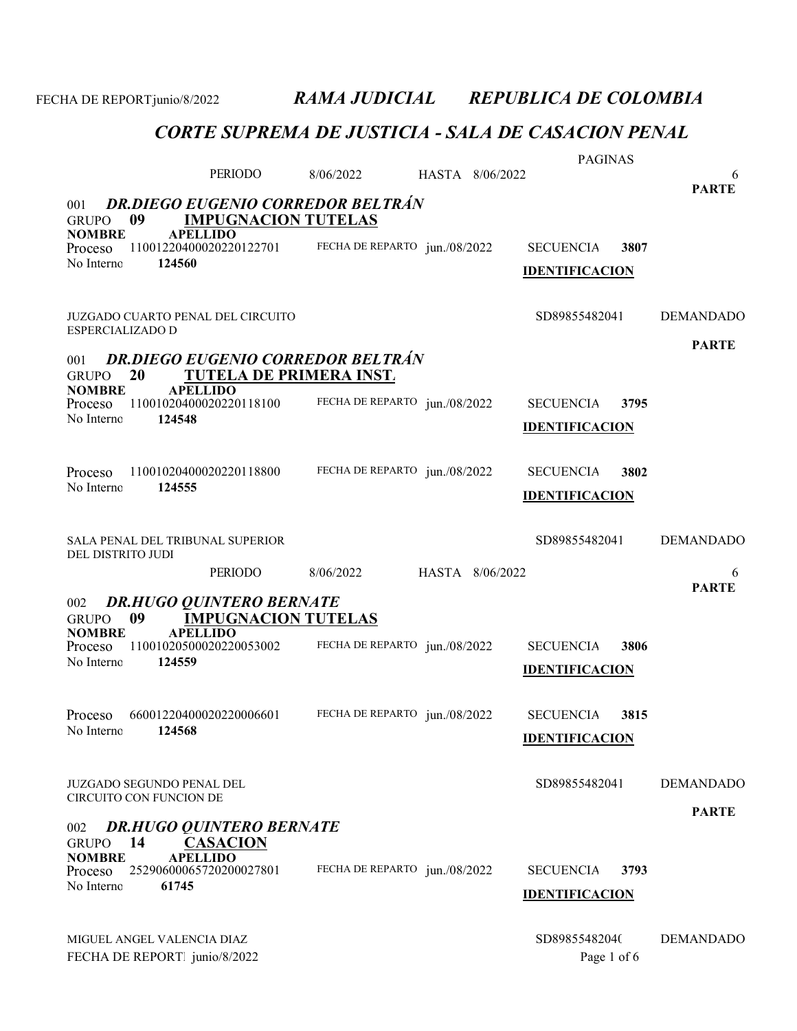PERIODO 8/06/2022 6 HASTA 8/06/2022 GRUPO 09 **IMPUGNACION TUTELAS**<br>NOMBRE APELLIDO **APELLIDO** PARTE 001 DR.DIEGO EUGENIO CORREDOR BELTRÁN Proceso 11001220400020220122701 FECHA DE REPARTO jun./08/2022 SECUENCIA 3807 124560 FECHA DE REPARTO jun./08/2022 No Interno: IDENTIFICACION JUZGADO CUARTO PENAL DEL CIRCUITO SD89855482041 DEMANDADO ESPERCIALIZADO D GRUPO 20 TUTELA DE PRIMERA INST.<br>NOMBRE APELLIDO **APELLIDO** PARTE 001 DR.DIEGO EUGENIO CORREDOR BELTRÁN Proceso 11001020400020220118100 FECHA DE REPARTO jun./08/2022 SECUENCIA 3795 124548 FECHA DE REPARTO jun./08/2022 No Interno: IDENTIFICACION Proceso 11001020400020220118800 FECHA DE REPARTO jun./08/2022 SECUENCIA 3802 124555 FECHA DE REPARTO jun./08/2022 No Interno: IDENTIFICACION SALA PENAL DEL TRIBUNAL SUPERIOR SD8985548204128 DEMANDADO DEL DISTRITO JUDI PERIODO 8/06/2022 6 HASTA 8/06/2022 GRUPO 09 IMPUGNACION TUTELAS NOMBRE APELLIDO PARTE 002 DR.HUGO QUINTERO BERNATE Proceso 11001020500020220053002 FECHA DE REPARTO jun./08/2022 SECUENCIA 3806 124559 FECHA DE REPARTO jun./08/2022 No Interno: IDENTIFICACION Proceso 66001220400020220006601 FECHA DE REPARTO jun./08/2022 SECUENCIA 3815 124568 No Interno: 66001220400020220006601 IDENTIFICACION JUZGADO SEGUNDO PENAL DEL SOBOS ESTE EL SOBOS ESTE EL SOBOS ESTE EL SOBOS ESTE EL DEMANDADO CIRCUITO CON FUNCION DE GRUPO 14 CASACION<br>NOMBRE APELLIDO **APELLIDO** PARTE 002 DR.HUGO QUINTERO BERNATE Proceso 25290600065720200027801 FECHA DE REPARTO jun./08/2022 SECUENCIA 3793 61745 FECHA DE REPARTO jun./08/2022 No Interno: IDENTIFICACION

MIGUEL ANGEL VALENCIA DIAZ SD89855482040 DEMANDADO FECHA DE REPORTE junio/8/2022 Page 1 of 6

FECHA DE REPORTjunio/8/2022 RAMA JUDICIAL REPUBLICA DE COLOMBIA

PAGINAS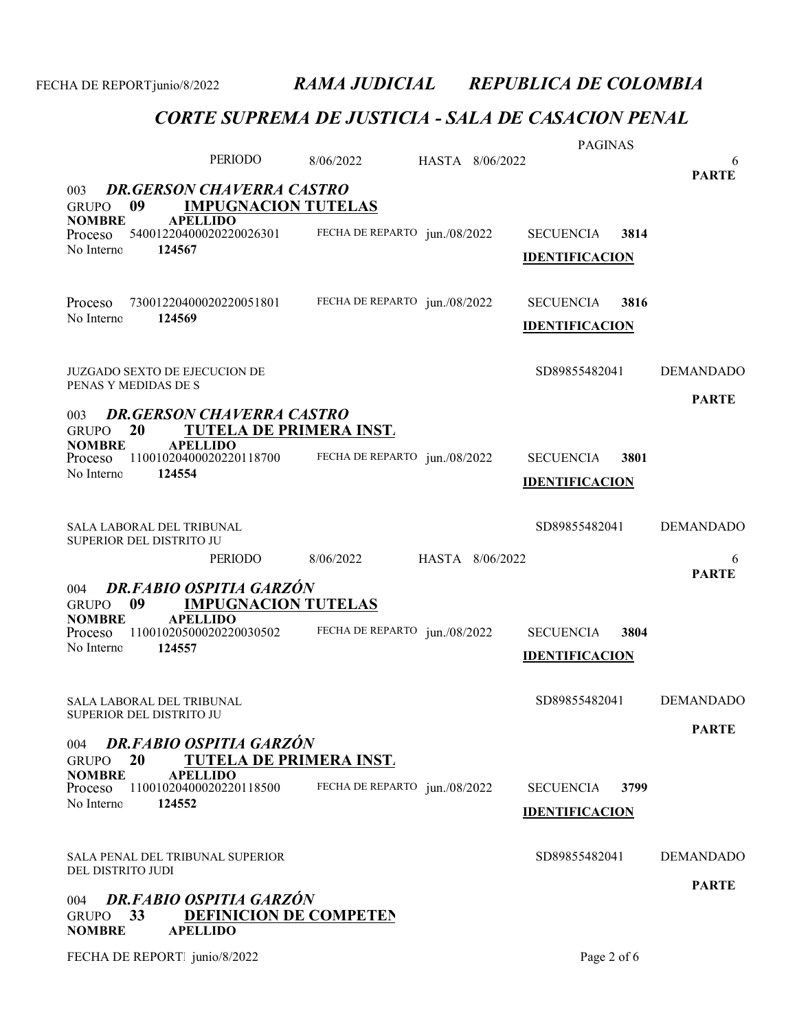|                                                                                          |                                |           |                               |                 | <b>PAGINAS</b>        |      |                   |
|------------------------------------------------------------------------------------------|--------------------------------|-----------|-------------------------------|-----------------|-----------------------|------|-------------------|
|                                                                                          | PERIODO                        | 8/06/2022 |                               | HASTA 8/06/2022 |                       |      | 6<br><b>PARTE</b> |
| <b>DR.GERSON CHAVERRA CASTRO</b><br>003<br>09<br><b>GRUPO</b>                            | <b>IMPUGNACION TUTELAS</b>     |           |                               |                 |                       |      |                   |
| <b>NOMBRE</b><br><b>APELLIDO</b><br>Proceso                                              | 54001220400020220026301        |           | FECHA DE REPARTO jun./08/2022 |                 | <b>SECUENCIA</b>      | 3814 |                   |
| No Interno<br>124567                                                                     |                                |           |                               |                 | <b>IDENTIFICACION</b> |      |                   |
| Proceso                                                                                  | 73001220400020220051801        |           | FECHA DE REPARTO jun./08/2022 |                 | <b>SECUENCIA</b>      | 3816 |                   |
| No Interno<br>124569                                                                     |                                |           |                               |                 | <b>IDENTIFICACION</b> |      |                   |
| <b>JUZGADO SEXTO DE EJECUCION DE</b>                                                     |                                |           |                               |                 | SD89855482041         |      | <b>DEMANDADO</b>  |
| PENAS Y MEDIDAS DE S                                                                     |                                |           |                               |                 |                       |      | <b>PARTE</b>      |
| <b>DR.GERSON CHAVERRA CASTRO</b><br>003<br>20<br><b>GRUPO</b>                            | <b>TUTELA DE PRIMERA INST.</b> |           |                               |                 |                       |      |                   |
| <b>NOMBRE</b><br><b>APELLIDO</b><br>Proceso                                              | 11001020400020220118700        |           | FECHA DE REPARTO jun./08/2022 |                 | <b>SECUENCIA</b>      | 3801 |                   |
| No Interno<br>124554                                                                     |                                |           |                               |                 | <b>IDENTIFICACION</b> |      |                   |
|                                                                                          |                                |           |                               |                 |                       |      |                   |
| SALA LABORAL DEL TRIBUNAL<br>SUPERIOR DEL DISTRITO JU                                    |                                |           |                               |                 | SD89855482041         |      | <b>DEMANDADO</b>  |
|                                                                                          | <b>PERIODO</b>                 | 8/06/2022 |                               | HASTA 8/06/2022 |                       |      | 6<br><b>PARTE</b> |
| <b>DR.FABIO OSPITIA GARZÓN</b><br>004                                                    |                                |           |                               |                 |                       |      |                   |
|                                                                                          |                                |           |                               |                 |                       |      |                   |
| 09<br><b>GRUPO</b><br><b>NOMBRE</b><br><b>APELLIDO</b>                                   | <b>IMPUGNACION TUTELAS</b>     |           |                               |                 |                       |      |                   |
| Proceso<br>No Interno<br>124557                                                          | 11001020500020220030502        |           | FECHA DE REPARTO jun./08/2022 |                 | <b>SECUENCIA</b>      | 3804 |                   |
|                                                                                          |                                |           |                               |                 | <b>IDENTIFICACION</b> |      |                   |
| <b>SALA LABORAL DEL TRIBUNAL</b>                                                         |                                |           |                               |                 | SD89855482041         |      | <b>DEMANDADO</b>  |
| SUPERIOR DEL DISTRITO JU                                                                 |                                |           |                               |                 |                       |      | <b>PARTE</b>      |
| <b>DR.FABIO OSPITIA GARZÓN</b><br>004<br>20<br><b>GRUPO</b>                              | TUTELA DE PRIMERA INST.        |           |                               |                 |                       |      |                   |
| <b>NOMBRE</b><br><b>APELLIDO</b><br>Proceso                                              | 11001020400020220118500        |           | FECHA DE REPARTO jun./08/2022 |                 | <b>SECUENCIA</b>      | 3799 |                   |
| No Interno<br>124552                                                                     |                                |           |                               |                 | <b>IDENTIFICACION</b> |      |                   |
| SALA PENAL DEL TRIBUNAL SUPERIOR                                                         |                                |           |                               |                 | SD89855482041         |      | <b>DEMANDADO</b>  |
| DEL DISTRITO JUDI                                                                        |                                |           |                               |                 |                       |      |                   |
| DR.FABIO OSPITIA GARZÓN<br>004<br>33<br><b>GRUPO</b><br><b>NOMBRE</b><br><b>APELLIDO</b> | <b>DEFINICION DE COMPETEN</b>  |           |                               |                 |                       |      | <b>PARTE</b>      |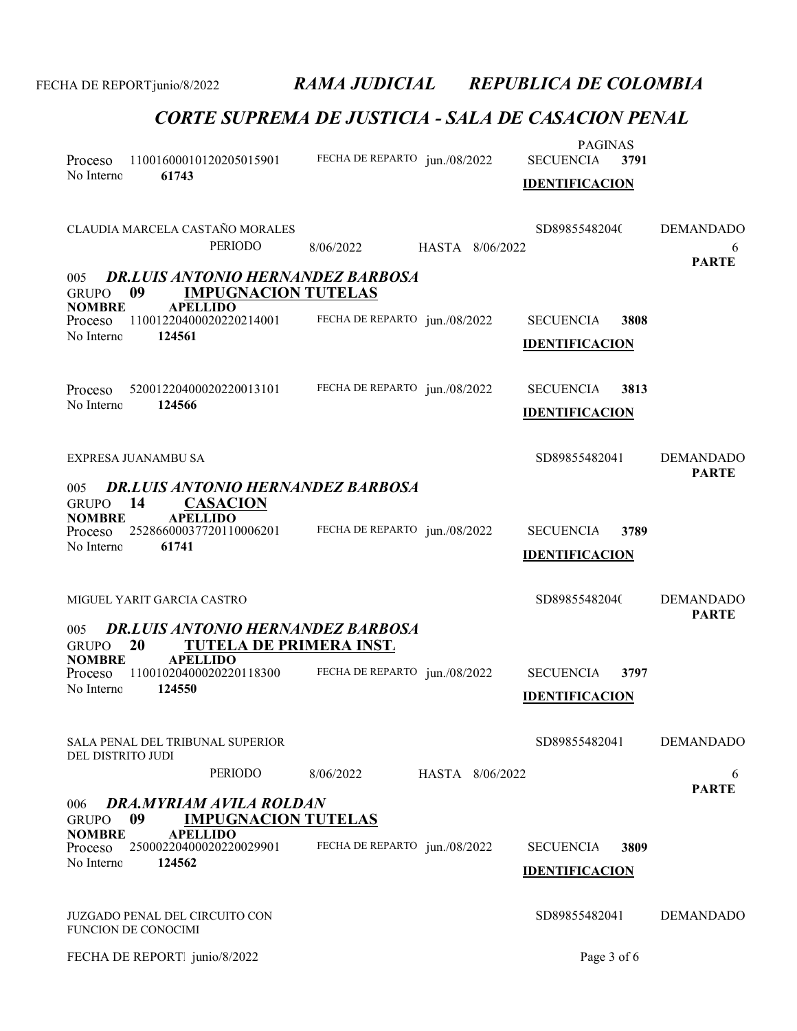| Proceso<br>No Interno                  | 61743                                                               | 11001600010120205015901                                      | FECHA DE REPARTO jun./08/2022            |                 | <b>PAGINAS</b><br><b>SECUENCIA</b><br><b>IDENTIFICACION</b> | 3791 |                                       |
|----------------------------------------|---------------------------------------------------------------------|--------------------------------------------------------------|------------------------------------------|-----------------|-------------------------------------------------------------|------|---------------------------------------|
|                                        |                                                                     | CLAUDIA MARCELA CASTAÑO MORALES<br>PERIODO                   | 8/06/2022                                | HASTA 8/06/2022 | SD89855482040                                               |      | <b>DEMANDADO</b><br>6<br><b>PARTE</b> |
| 005<br><b>GRUPO</b>                    | 09                                                                  | <b>IMPUGNACION TUTELAS</b>                                   | <b>DR.LUIS ANTONIO HERNANDEZ BARBOSA</b> |                 |                                                             |      |                                       |
| <b>NOMBRE</b><br>Proceso<br>No Interno | <b>APELLIDO</b><br>124561                                           | 11001220400020220214001                                      | FECHA DE REPARTO jun./08/2022            |                 | <b>SECUENCIA</b><br><b>IDENTIFICACION</b>                   | 3808 |                                       |
| Proceso<br>No Interno                  | 124566                                                              | 52001220400020220013101                                      | FECHA DE REPARTO jun./08/2022            |                 | <b>SECUENCIA</b><br><b>IDENTIFICACION</b>                   | 3813 |                                       |
|                                        | EXPRESA JUANAMBU SA                                                 |                                                              |                                          |                 | SD89855482041                                               |      | <b>DEMANDADO</b><br><b>PARTE</b>      |
| 005<br><b>GRUPO</b>                    | 14                                                                  | <b>CASACION</b>                                              | <b>DR.LUIS ANTONIO HERNANDEZ BARBOSA</b> |                 |                                                             |      |                                       |
| <b>NOMBRE</b><br>Proceso               | <b>APELLIDO</b>                                                     | 25286600037720110006201                                      | FECHA DE REPARTO jun./08/2022            |                 | <b>SECUENCIA</b>                                            | 3789 |                                       |
| No Interno                             | 61741                                                               |                                                              |                                          |                 | <b>IDENTIFICACION</b>                                       |      |                                       |
|                                        | MIGUEL YARIT GARCIA CASTRO                                          |                                                              |                                          |                 | SD89855482040                                               |      | <b>DEMANDADO</b><br><b>PARTE</b>      |
| 005<br><b>GRUPO</b>                    | 20                                                                  | <b>TUTELA DE PRIMERA INST.</b>                               | <b>DR.LUIS ANTONIO HERNANDEZ BARBOSA</b> |                 |                                                             |      |                                       |
| <b>NOMBRE</b><br>Proceso               | <b>APELLIDO</b>                                                     | 11001020400020220118300                                      | FECHA DE REPARTO jun./08/2022            |                 | <b>SECUENCIA</b>                                            | 3797 |                                       |
| No Interno                             | 124550                                                              |                                                              |                                          |                 | <b>IDENTIFICACION</b>                                       |      |                                       |
| DEL DISTRITO JUDI                      |                                                                     | SALA PENAL DEL TRIBUNAL SUPERIOR                             |                                          |                 | SD89855482041                                               |      | <b>DEMANDADO</b>                      |
|                                        |                                                                     | PERIODO                                                      | 8/06/2022                                | HASTA 8/06/2022 |                                                             |      | 6<br><b>PARTE</b>                     |
| 006<br><b>GRUPO</b>                    | 09                                                                  | <b>DRA.MYRIAM AVILA ROLDAN</b><br><b>IMPUGNACION TUTELAS</b> |                                          |                 |                                                             |      |                                       |
| <b>NOMBRE</b><br>Proceso               | <b>APELLIDO</b>                                                     | 25000220400020220029901                                      | FECHA DE REPARTO jun./08/2022            |                 | <b>SECUENCIA</b>                                            | 3809 |                                       |
| No Interno                             | 124562                                                              |                                                              |                                          |                 | <b>IDENTIFICACION</b>                                       |      |                                       |
|                                        | <b>JUZGADO PENAL DEL CIRCUITO CON</b><br><b>FUNCION DE CONOCIMI</b> |                                                              |                                          |                 | SD89855482041                                               |      | <b>DEMANDADO</b>                      |
|                                        | FECHA DE REPORT junio/8/2022                                        |                                                              |                                          |                 | Page 3 of 6                                                 |      |                                       |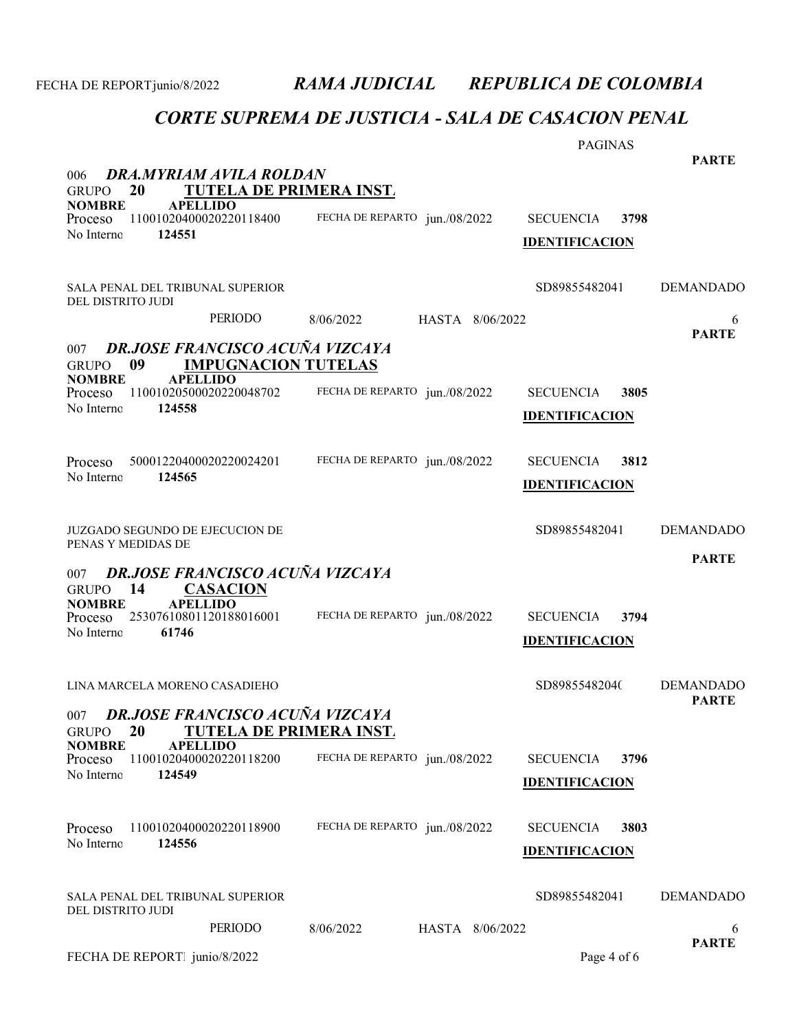| DRA.MYRIAM AVILA ROLDAN<br>006                                                                                                                         |                               | <b>PAGINAS</b>                                    | <b>PARTE</b>                     |
|--------------------------------------------------------------------------------------------------------------------------------------------------------|-------------------------------|---------------------------------------------------|----------------------------------|
| 20<br><b>TUTELA DE PRIMERA INST.</b><br><b>GRUPO</b><br><b>NOMBRE</b><br><b>APELLIDO</b><br>11001020400020220118400<br>Proceso<br>No Interno<br>124551 | FECHA DE REPARTO jun./08/2022 | <b>SECUENCIA</b><br>3798<br><b>IDENTIFICACION</b> |                                  |
| SALA PENAL DEL TRIBUNAL SUPERIOR<br>DEL DISTRITO JUDI                                                                                                  |                               | SD89855482041                                     | <b>DEMANDADO</b>                 |
| <b>PERIODO</b>                                                                                                                                         | 8/06/2022<br>HASTA 8/06/2022  |                                                   | 6<br><b>PARTE</b>                |
| DR.JOSE FRANCISCO ACUÑA VIZCAYA<br>007<br><b>IMPUGNACION TUTELAS</b><br>09<br><b>GRUPO</b>                                                             |                               |                                                   |                                  |
| <b>NOMBRE</b><br><b>APELLIDO</b><br>11001020500020220048702<br>Proceso<br>No Interno<br>124558                                                         | FECHA DE REPARTO jun./08/2022 | <b>SECUENCIA</b><br>3805<br><b>IDENTIFICACION</b> |                                  |
| 50001220400020220024201<br>Proceso<br>No Interno<br>124565                                                                                             | FECHA DE REPARTO jun./08/2022 | <b>SECUENCIA</b><br>3812<br><b>IDENTIFICACION</b> |                                  |
| JUZGADO SEGUNDO DE EJECUCION DE<br>PENAS Y MEDIDAS DE                                                                                                  |                               | SD89855482041                                     | <b>DEMANDADO</b>                 |
| DR.JOSE FRANCISCO ACUÑA VIZCAYA<br>007                                                                                                                 |                               |                                                   | <b>PARTE</b>                     |
| GRUPO 14<br><b>CASACION</b><br><b>APELLIDO</b><br><b>NOMBRE</b><br>25307610801120188016001<br>Proceso<br>No Interno<br>61746                           | FECHA DE REPARTO jun./08/2022 | <b>SECUENCIA</b><br>3794<br><b>IDENTIFICACION</b> |                                  |
| LINA MARCELA MORENO CASADIEHO                                                                                                                          |                               | SD89855482040                                     | <b>DEMANDADO</b><br><b>PARTE</b> |
| 007 DR.JOSE FRANCISCO ACUÑA VIZCAYA<br>20<br><b>TUTELA DE PRIMERA INST.</b><br><b>GRUPO</b>                                                            |                               |                                                   |                                  |
| <b>NOMBRE</b><br><b>APELLIDO</b><br>11001020400020220118200<br>Proceso<br>No Interno<br>124549                                                         | FECHA DE REPARTO jun./08/2022 | 3796<br><b>SECUENCIA</b><br><b>IDENTIFICACION</b> |                                  |
| 11001020400020220118900<br>Proceso<br>No Interno<br>124556                                                                                             | FECHA DE REPARTO jun./08/2022 | <b>SECUENCIA</b><br>3803<br><b>IDENTIFICACION</b> |                                  |
| SALA PENAL DEL TRIBUNAL SUPERIOR<br>DEL DISTRITO JUDI                                                                                                  |                               | SD89855482041                                     | <b>DEMANDADO</b>                 |
| PERIODO                                                                                                                                                | 8/06/2022<br>HASTA 8/06/2022  |                                                   | 6                                |
| FECHA DE REPORT junio/8/2022                                                                                                                           |                               | Page 4 of 6                                       | <b>PARTE</b>                     |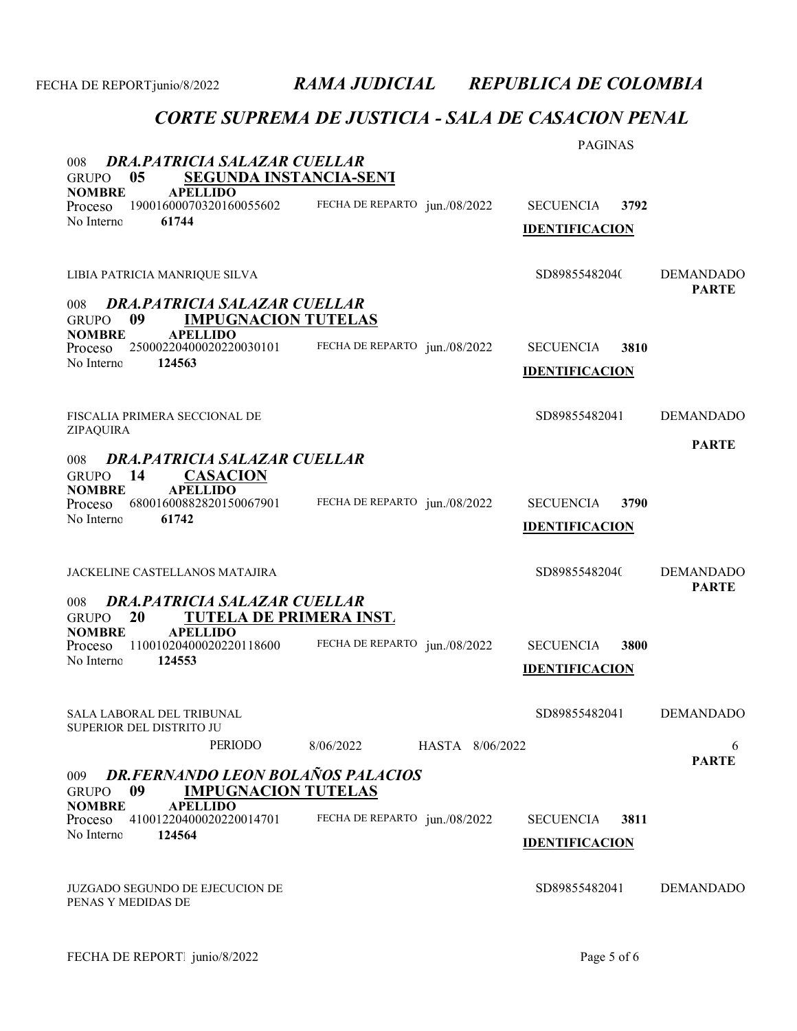| DRA.PATRICIA SALAZAR CUELLAR<br>008                                                                                                                                                                   |                               | <b>PAGINAS</b>                                    |                                  |
|-------------------------------------------------------------------------------------------------------------------------------------------------------------------------------------------------------|-------------------------------|---------------------------------------------------|----------------------------------|
| <b>SEGUNDA INSTANCIA-SENT</b><br>0 <sub>5</sub><br><b>GRUPO</b><br><b>NOMBRE</b><br><b>APELLIDO</b><br>19001600070320160055602<br>Proceso<br>No Interno<br>61744                                      | FECHA DE REPARTO jun./08/2022 | <b>SECUENCIA</b><br>3792<br><b>IDENTIFICACION</b> |                                  |
| LIBIA PATRICIA MANRIQUE SILVA                                                                                                                                                                         |                               | SD89855482040                                     | <b>DEMANDADO</b><br><b>PARTE</b> |
| DRA.PATRICIA SALAZAR CUELLAR<br>008<br>09<br><b>IMPUGNACION TUTELAS</b><br><b>GRUPO</b><br><b>APELLIDO</b><br><b>NOMBRE</b><br>25000220400020220030101<br>Proceso<br>No Interno<br>124563             | FECHA DE REPARTO jun./08/2022 | <b>SECUENCIA</b><br>3810<br><b>IDENTIFICACION</b> |                                  |
| FISCALIA PRIMERA SECCIONAL DE<br>ZIPAQUIRA                                                                                                                                                            |                               | SD89855482041                                     | <b>DEMANDADO</b>                 |
| <b>DRA.PATRICIA SALAZAR CUELLAR</b><br>008<br>14<br><b>CASACION</b><br><b>GRUPO</b><br><b>APELLIDO</b><br><b>NOMBRE</b><br>68001600882820150067901<br>Proceso<br>No Interno<br>61742                  | FECHA DE REPARTO jun./08/2022 | <b>SECUENCIA</b><br>3790<br><b>IDENTIFICACION</b> | <b>PARTE</b>                     |
| JACKELINE CASTELLANOS MATAJIRA                                                                                                                                                                        |                               | SD89855482040                                     | <b>DEMANDADO</b><br><b>PARTE</b> |
| DRA.PATRICIA SALAZAR CUELLAR<br>008<br>20<br>TUTELA DE PRIMERA INST.<br><b>GRUPO</b><br><b>APELLIDO</b><br><b>NOMBRE</b><br>11001020400020220118600<br>Proceso<br>No Interno<br>124553                | FECHA DE REPARTO jun./08/2022 | <b>SECUENCIA</b><br>3800<br><b>IDENTIFICACION</b> |                                  |
| SALA LABORAL DEL TRIBUNAL<br>SUPERIOR DEL DISTRITO JU<br><b>PERIODO</b>                                                                                                                               | 8/06/2022<br>HASTA 8/06/2022  | SD89855482041                                     | <b>DEMANDADO</b><br>6            |
| <b>DR.FERNANDO LEON BOLAÑOS PALACIOS</b><br>009<br>09<br><b>IMPUGNACION TUTELAS</b><br><b>GRUPO</b><br><b>NOMBRE</b><br><b>APELLIDO</b><br>41001220400020220014701<br>Proceso<br>124564<br>No Interno | FECHA DE REPARTO jun./08/2022 | 3811<br><b>SECUENCIA</b><br><b>IDENTIFICACION</b> | <b>PARTE</b>                     |
| JUZGADO SEGUNDO DE EJECUCION DE<br>PENAS Y MEDIDAS DE                                                                                                                                                 |                               | SD89855482041                                     | <b>DEMANDADO</b>                 |